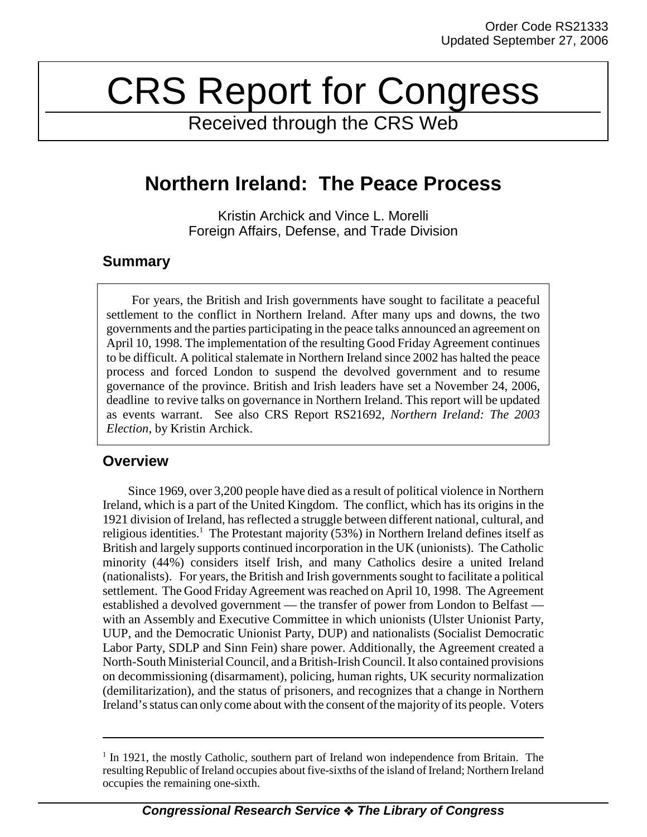# CRS Report for Congress

Received through the CRS Web

# **Northern Ireland: The Peace Process**

Kristin Archick and Vince L. Morelli Foreign Affairs, Defense, and Trade Division

## **Summary**

For years, the British and Irish governments have sought to facilitate a peaceful settlement to the conflict in Northern Ireland. After many ups and downs, the two governments and the parties participating in the peace talks announced an agreement on April 10, 1998. The implementation of the resulting Good Friday Agreement continues to be difficult. A political stalemate in Northern Ireland since 2002 has halted the peace process and forced London to suspend the devolved government and to resume governance of the province. British and Irish leaders have set a November 24, 2006, deadline to revive talks on governance in Northern Ireland. This report will be updated as events warrant. See also CRS Report RS21692, *Northern Ireland: The 2003 Election*, by Kristin Archick.

## **Overview**

Since 1969, over 3,200 people have died as a result of political violence in Northern Ireland, which is a part of the United Kingdom. The conflict, which has its origins in the 1921 division of Ireland, has reflected a struggle between different national, cultural, and religious identities.<sup>1</sup> The Protestant majority (53%) in Northern Ireland defines itself as British and largely supports continued incorporation in the UK (unionists). The Catholic minority (44%) considers itself Irish, and many Catholics desire a united Ireland (nationalists). For years, the British and Irish governments sought to facilitate a political settlement. The Good Friday Agreement was reached on April 10, 1998. The Agreement established a devolved government — the transfer of power from London to Belfast with an Assembly and Executive Committee in which unionists (Ulster Unionist Party, UUP, and the Democratic Unionist Party, DUP) and nationalists (Socialist Democratic Labor Party, SDLP and Sinn Fein) share power. Additionally, the Agreement created a North-South Ministerial Council, and a British-Irish Council. It also contained provisions on decommissioning (disarmament), policing, human rights, UK security normalization (demilitarization), and the status of prisoners, and recognizes that a change in Northern Ireland's status can only come about with the consent of the majority of its people. Voters

<sup>&</sup>lt;sup>1</sup> In 1921, the mostly Catholic, southern part of Ireland won independence from Britain. The resulting Republic of Ireland occupies about five-sixths of the island of Ireland; Northern Ireland occupies the remaining one-sixth.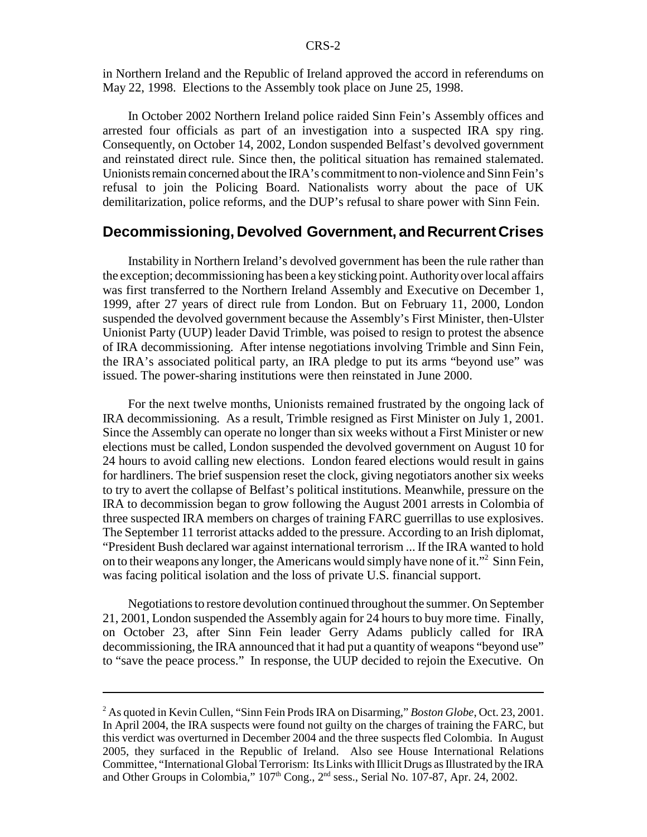in Northern Ireland and the Republic of Ireland approved the accord in referendums on May 22, 1998. Elections to the Assembly took place on June 25, 1998.

In October 2002 Northern Ireland police raided Sinn Fein's Assembly offices and arrested four officials as part of an investigation into a suspected IRA spy ring. Consequently, on October 14, 2002, London suspended Belfast's devolved government and reinstated direct rule. Since then, the political situation has remained stalemated. Unionists remain concerned about the IRA's commitment to non-violence and Sinn Fein's refusal to join the Policing Board. Nationalists worry about the pace of UK demilitarization, police reforms, and the DUP's refusal to share power with Sinn Fein.

#### **Decommissioning, Devolved Government, and Recurrent Crises**

Instability in Northern Ireland's devolved government has been the rule rather than the exception; decommissioning has been a key sticking point. Authority over local affairs was first transferred to the Northern Ireland Assembly and Executive on December 1, 1999, after 27 years of direct rule from London. But on February 11, 2000, London suspended the devolved government because the Assembly's First Minister, then-Ulster Unionist Party (UUP) leader David Trimble, was poised to resign to protest the absence of IRA decommissioning. After intense negotiations involving Trimble and Sinn Fein, the IRA's associated political party, an IRA pledge to put its arms "beyond use" was issued. The power-sharing institutions were then reinstated in June 2000.

For the next twelve months, Unionists remained frustrated by the ongoing lack of IRA decommissioning. As a result, Trimble resigned as First Minister on July 1, 2001. Since the Assembly can operate no longer than six weeks without a First Minister or new elections must be called, London suspended the devolved government on August 10 for 24 hours to avoid calling new elections. London feared elections would result in gains for hardliners. The brief suspension reset the clock, giving negotiators another six weeks to try to avert the collapse of Belfast's political institutions. Meanwhile, pressure on the IRA to decommission began to grow following the August 2001 arrests in Colombia of three suspected IRA members on charges of training FARC guerrillas to use explosives. The September 11 terrorist attacks added to the pressure. According to an Irish diplomat, "President Bush declared war against international terrorism ... If the IRA wanted to hold on to their weapons any longer, the Americans would simply have none of it."<sup>2</sup> Sinn Fein, was facing political isolation and the loss of private U.S. financial support.

Negotiations to restore devolution continued throughout the summer. On September 21, 2001, London suspended the Assembly again for 24 hours to buy more time. Finally, on October 23, after Sinn Fein leader Gerry Adams publicly called for IRA decommissioning, the IRA announced that it had put a quantity of weapons "beyond use" to "save the peace process." In response, the UUP decided to rejoin the Executive. On

<sup>2</sup> As quoted in Kevin Cullen, "Sinn Fein Prods IRA on Disarming," *Boston Globe*, Oct. 23, 2001. In April 2004, the IRA suspects were found not guilty on the charges of training the FARC, but this verdict was overturned in December 2004 and the three suspects fled Colombia. In August 2005, they surfaced in the Republic of Ireland. Also see House International Relations Committee, "International Global Terrorism: Its Links with Illicit Drugs as Illustrated by the IRA and Other Groups in Colombia,"  $107<sup>th</sup>$  Cong.,  $2<sup>nd</sup>$  sess., Serial No. 107-87, Apr. 24, 2002.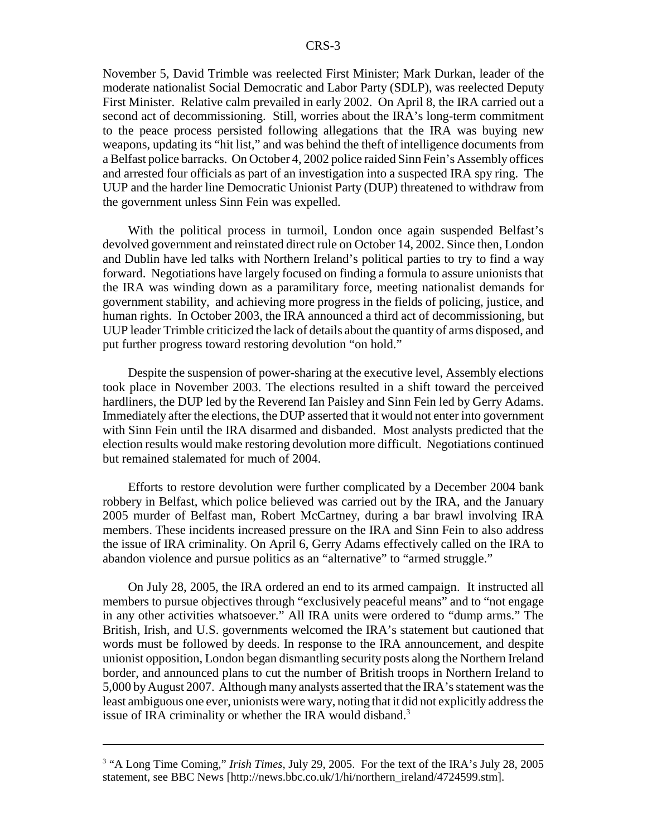November 5, David Trimble was reelected First Minister; Mark Durkan, leader of the moderate nationalist Social Democratic and Labor Party (SDLP), was reelected Deputy First Minister. Relative calm prevailed in early 2002. On April 8, the IRA carried out a second act of decommissioning. Still, worries about the IRA's long-term commitment to the peace process persisted following allegations that the IRA was buying new weapons, updating its "hit list," and was behind the theft of intelligence documents from a Belfast police barracks. On October 4, 2002 police raided Sinn Fein's Assembly offices and arrested four officials as part of an investigation into a suspected IRA spy ring. The UUP and the harder line Democratic Unionist Party (DUP) threatened to withdraw from the government unless Sinn Fein was expelled.

With the political process in turmoil, London once again suspended Belfast's devolved government and reinstated direct rule on October 14, 2002. Since then, London and Dublin have led talks with Northern Ireland's political parties to try to find a way forward. Negotiations have largely focused on finding a formula to assure unionists that the IRA was winding down as a paramilitary force, meeting nationalist demands for government stability, and achieving more progress in the fields of policing, justice, and human rights. In October 2003, the IRA announced a third act of decommissioning, but UUP leader Trimble criticized the lack of details about the quantity of arms disposed, and put further progress toward restoring devolution "on hold."

Despite the suspension of power-sharing at the executive level, Assembly elections took place in November 2003. The elections resulted in a shift toward the perceived hardliners, the DUP led by the Reverend Ian Paisley and Sinn Fein led by Gerry Adams. Immediately after the elections, the DUP asserted that it would not enter into government with Sinn Fein until the IRA disarmed and disbanded. Most analysts predicted that the election results would make restoring devolution more difficult. Negotiations continued but remained stalemated for much of 2004.

Efforts to restore devolution were further complicated by a December 2004 bank robbery in Belfast, which police believed was carried out by the IRA, and the January 2005 murder of Belfast man, Robert McCartney, during a bar brawl involving IRA members. These incidents increased pressure on the IRA and Sinn Fein to also address the issue of IRA criminality. On April 6, Gerry Adams effectively called on the IRA to abandon violence and pursue politics as an "alternative" to "armed struggle."

On July 28, 2005, the IRA ordered an end to its armed campaign. It instructed all members to pursue objectives through "exclusively peaceful means" and to "not engage in any other activities whatsoever." All IRA units were ordered to "dump arms." The British, Irish, and U.S. governments welcomed the IRA's statement but cautioned that words must be followed by deeds. In response to the IRA announcement, and despite unionist opposition, London began dismantling security posts along the Northern Ireland border, and announced plans to cut the number of British troops in Northern Ireland to 5,000 by August 2007. Although many analysts asserted that the IRA's statement was the least ambiguous one ever, unionists were wary, noting that it did not explicitly address the issue of IRA criminality or whether the IRA would disband.<sup>3</sup>

<sup>&</sup>lt;sup>3</sup> "A Long Time Coming," *Irish Times*, July 29, 2005. For the text of the IRA's July 28, 2005 statement, see BBC News [http://news.bbc.co.uk/1/hi/northern\_ireland/4724599.stm].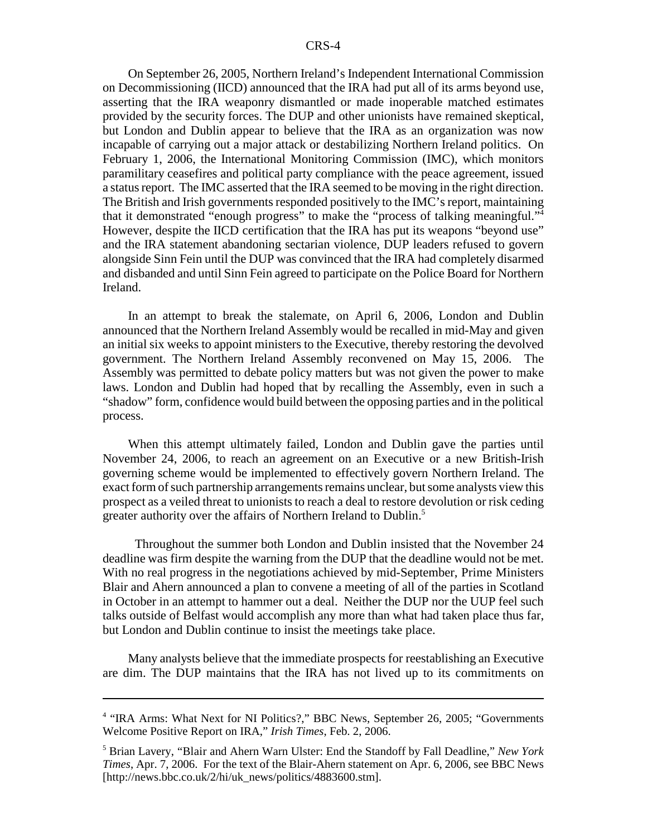On September 26, 2005, Northern Ireland's Independent International Commission on Decommissioning (IICD) announced that the IRA had put all of its arms beyond use, asserting that the IRA weaponry dismantled or made inoperable matched estimates provided by the security forces. The DUP and other unionists have remained skeptical, but London and Dublin appear to believe that the IRA as an organization was now incapable of carrying out a major attack or destabilizing Northern Ireland politics. On February 1, 2006, the International Monitoring Commission (IMC), which monitors paramilitary ceasefires and political party compliance with the peace agreement, issued a status report. The IMC asserted that the IRA seemed to be moving in the right direction. The British and Irish governments responded positively to the IMC's report, maintaining that it demonstrated "enough progress" to make the "process of talking meaningful."4 However, despite the IICD certification that the IRA has put its weapons "beyond use" and the IRA statement abandoning sectarian violence, DUP leaders refused to govern alongside Sinn Fein until the DUP was convinced that the IRA had completely disarmed and disbanded and until Sinn Fein agreed to participate on the Police Board for Northern Ireland.

In an attempt to break the stalemate, on April 6, 2006, London and Dublin announced that the Northern Ireland Assembly would be recalled in mid-May and given an initial six weeks to appoint ministers to the Executive, thereby restoring the devolved government. The Northern Ireland Assembly reconvened on May 15, 2006. The Assembly was permitted to debate policy matters but was not given the power to make laws. London and Dublin had hoped that by recalling the Assembly, even in such a "shadow" form, confidence would build between the opposing parties and in the political process.

When this attempt ultimately failed, London and Dublin gave the parties until November 24, 2006, to reach an agreement on an Executive or a new British-Irish governing scheme would be implemented to effectively govern Northern Ireland. The exact form of such partnership arrangements remains unclear, but some analysts view this prospect as a veiled threat to unionists to reach a deal to restore devolution or risk ceding greater authority over the affairs of Northern Ireland to Dublin.<sup>5</sup>

 Throughout the summer both London and Dublin insisted that the November 24 deadline was firm despite the warning from the DUP that the deadline would not be met. With no real progress in the negotiations achieved by mid-September, Prime Ministers Blair and Ahern announced a plan to convene a meeting of all of the parties in Scotland in October in an attempt to hammer out a deal. Neither the DUP nor the UUP feel such talks outside of Belfast would accomplish any more than what had taken place thus far, but London and Dublin continue to insist the meetings take place.

Many analysts believe that the immediate prospects for reestablishing an Executive are dim. The DUP maintains that the IRA has not lived up to its commitments on

<sup>&</sup>lt;sup>4</sup> "IRA Arms: What Next for NI Politics?," BBC News, September 26, 2005; "Governments Welcome Positive Report on IRA," *Irish Times*, Feb. 2, 2006.

<sup>5</sup> Brian Lavery, "Blair and Ahern Warn Ulster: End the Standoff by Fall Deadline," *New York Times*, Apr. 7, 2006. For the text of the Blair-Ahern statement on Apr. 6, 2006, see BBC News [http://news.bbc.co.uk/2/hi/uk\_news/politics/4883600.stm].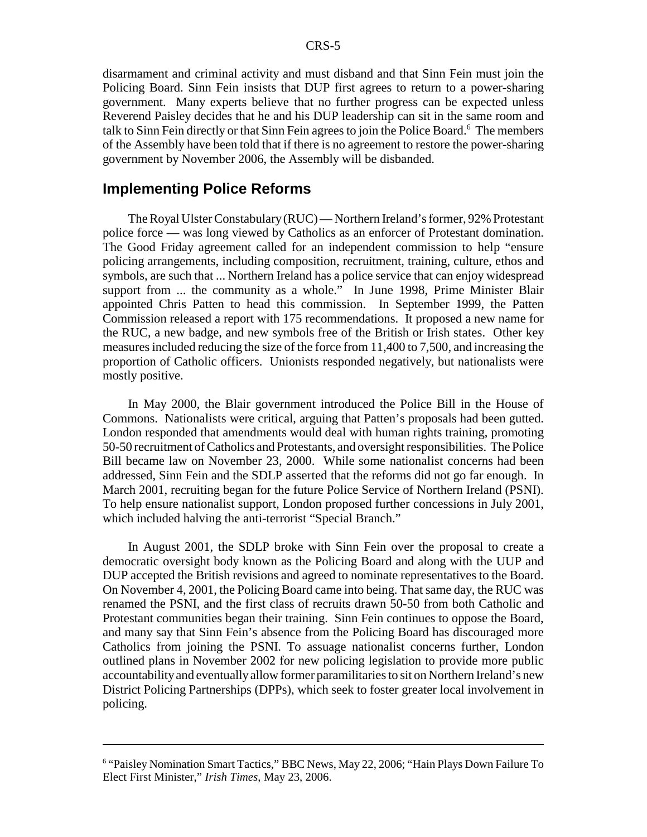disarmament and criminal activity and must disband and that Sinn Fein must join the Policing Board. Sinn Fein insists that DUP first agrees to return to a power-sharing government. Many experts believe that no further progress can be expected unless Reverend Paisley decides that he and his DUP leadership can sit in the same room and talk to Sinn Fein directly or that Sinn Fein agrees to join the Police Board.<sup>6</sup> The members of the Assembly have been told that if there is no agreement to restore the power-sharing government by November 2006, the Assembly will be disbanded.

#### **Implementing Police Reforms**

The Royal Ulster Constabulary (RUC) — Northern Ireland's former, 92% Protestant police force — was long viewed by Catholics as an enforcer of Protestant domination. The Good Friday agreement called for an independent commission to help "ensure policing arrangements, including composition, recruitment, training, culture, ethos and symbols, are such that ... Northern Ireland has a police service that can enjoy widespread support from ... the community as a whole." In June 1998, Prime Minister Blair appointed Chris Patten to head this commission. In September 1999, the Patten Commission released a report with 175 recommendations. It proposed a new name for the RUC, a new badge, and new symbols free of the British or Irish states. Other key measures included reducing the size of the force from 11,400 to 7,500, and increasing the proportion of Catholic officers. Unionists responded negatively, but nationalists were mostly positive.

In May 2000, the Blair government introduced the Police Bill in the House of Commons. Nationalists were critical, arguing that Patten's proposals had been gutted. London responded that amendments would deal with human rights training, promoting 50-50 recruitment of Catholics and Protestants, and oversight responsibilities. The Police Bill became law on November 23, 2000. While some nationalist concerns had been addressed, Sinn Fein and the SDLP asserted that the reforms did not go far enough. In March 2001, recruiting began for the future Police Service of Northern Ireland (PSNI). To help ensure nationalist support, London proposed further concessions in July 2001, which included halving the anti-terrorist "Special Branch."

In August 2001, the SDLP broke with Sinn Fein over the proposal to create a democratic oversight body known as the Policing Board and along with the UUP and DUP accepted the British revisions and agreed to nominate representatives to the Board. On November 4, 2001, the Policing Board came into being. That same day, the RUC was renamed the PSNI, and the first class of recruits drawn 50-50 from both Catholic and Protestant communities began their training. Sinn Fein continues to oppose the Board, and many say that Sinn Fein's absence from the Policing Board has discouraged more Catholics from joining the PSNI. To assuage nationalist concerns further, London outlined plans in November 2002 for new policing legislation to provide more public accountability and eventually allow former paramilitaries to sit on Northern Ireland's new District Policing Partnerships (DPPs), which seek to foster greater local involvement in policing.

<sup>&</sup>lt;sup>6</sup> "Paisley Nomination Smart Tactics," BBC News, May 22, 2006; "Hain Plays Down Failure To Elect First Minister," *Irish Times*, May 23, 2006.